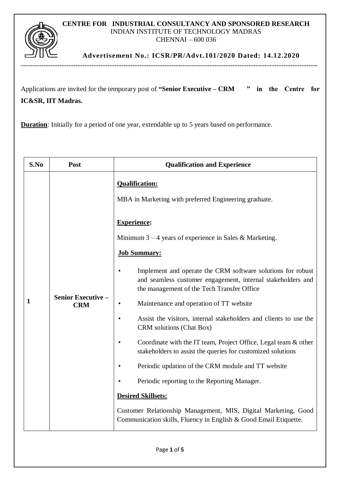## **CENTRE FOR INDUSTRIAL CONSULTANCY AND SPONSORED RESEARCH** INDIAN INSTITUTE OF TECHNOLOGY MADRAS CHENNAI – 600 036

**Advertisement No.: ICSR/PR/Advt.101/2020 Dated: 14.12.2020**

Applications are invited for the temporary post of **"Senior Executive – CRM " in the Centre for IC&SR, IIT Madras.**

**Duration**: Initially for a period of one year, extendable up to 5 years based on performance.

| S.No | Post                                    | <b>Qualification and Experience</b>                                                                                                                                                                                                                                                                                                                                                                                                                                                                                                                                                                                                                                                                      |  |  |
|------|-----------------------------------------|----------------------------------------------------------------------------------------------------------------------------------------------------------------------------------------------------------------------------------------------------------------------------------------------------------------------------------------------------------------------------------------------------------------------------------------------------------------------------------------------------------------------------------------------------------------------------------------------------------------------------------------------------------------------------------------------------------|--|--|
| 1    | <b>Senior Executive -</b><br><b>CRM</b> | <b>Qualification:</b><br>MBA in Marketing with preferred Engineering graduate.<br><b>Experience:</b><br>Minimum $3 - 4$ years of experience in Sales & Marketing.<br><b>Job Summary:</b><br>Implement and operate the CRM software solutions for robust<br>and seamless customer engagement, internal stakeholders and<br>the management of the Tech Transfer Office<br>Maintenance and operation of TT website<br>Assist the visitors, internal stakeholders and clients to use the<br>CRM solutions (Chat Box)<br>Coordinate with the IT team, Project Office, Legal team & other<br>stakeholders to assist the queries for customized solutions<br>Periodic updation of the CRM module and TT website |  |  |
|      |                                         |                                                                                                                                                                                                                                                                                                                                                                                                                                                                                                                                                                                                                                                                                                          |  |  |
|      |                                         | Periodic reporting to the Reporting Manager.                                                                                                                                                                                                                                                                                                                                                                                                                                                                                                                                                                                                                                                             |  |  |
|      |                                         | <b>Desired Skillsets:</b>                                                                                                                                                                                                                                                                                                                                                                                                                                                                                                                                                                                                                                                                                |  |  |
|      |                                         | Customer Relationship Management, MIS, Digital Marketing, Good<br>Communication skills, Fluency in English & Good Email Etiquette.                                                                                                                                                                                                                                                                                                                                                                                                                                                                                                                                                                       |  |  |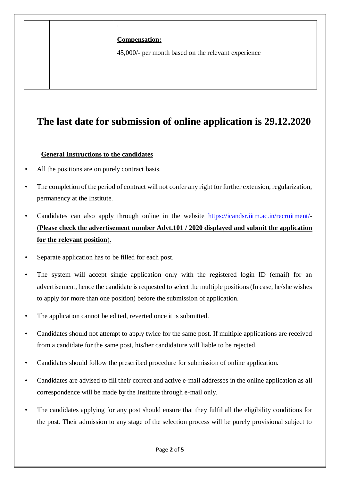|  | $\bullet$                                           |
|--|-----------------------------------------------------|
|  | <b>Compensation:</b>                                |
|  | 45,000/- per month based on the relevant experience |
|  |                                                     |
|  |                                                     |
|  |                                                     |

## **The last date for submission of online application is 29.12.2020**

## **General Instructions to the candidates**

- All the positions are on purely contract basis.
- The completion of the period of contract will not confer any right for further extension, regularization, permanency at the Institute.
- Candidates can also apply through online in the website [https://icandsr.iitm.ac.in/recruitment/-](https://icandsr.iitm.ac.in/recruitment/) (**Please check the advertisement number Advt.101 / 2020 displayed and submit the application for the relevant position**).
- Separate application has to be filled for each post.
- The system will accept single application only with the registered login ID (email) for an advertisement, hence the candidate is requested to select the multiple positions (In case, he/she wishes to apply for more than one position) before the submission of application.
- The application cannot be edited, reverted once it is submitted.
- Candidates should not attempt to apply twice for the same post. If multiple applications are received from a candidate for the same post, his/her candidature will liable to be rejected.
- Candidates should follow the prescribed procedure for submission of online application.
- Candidates are advised to fill their correct and active e-mail addresses in the online application as all correspondence will be made by the Institute through e-mail only.
- The candidates applying for any post should ensure that they fulfil all the eligibility conditions for the post. Their admission to any stage of the selection process will be purely provisional subject to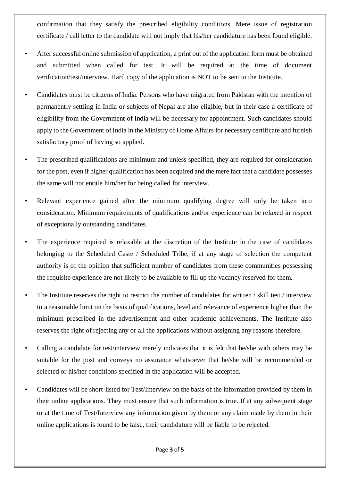confirmation that they satisfy the prescribed eligibility conditions. Mere issue of registration certificate / call letter to the candidate will not imply that his/her candidature has been found eligible.

- After successful online submission of application, a print out of the application form must be obtained and submitted when called for test. It will be required at the time of document verification/test/interview. Hard copy of the application is NOT to be sent to the Institute.
- Candidates must be citizens of India. Persons who have migrated from Pakistan with the intention of permanently settling in India or subjects of Nepal are also eligible, but in their case a certificate of eligibility from the Government of India will be necessary for appointment. Such candidates should apply to the Government of India in the Ministry of Home Affairs for necessary certificate and furnish satisfactory proof of having so applied.
- The prescribed qualifications are minimum and unless specified, they are required for consideration for the post, even if higher qualification has been acquired and the mere fact that a candidate possesses the same will not entitle him/her for being called for interview.
- Relevant experience gained after the minimum qualifying degree will only be taken into consideration. Minimum requirements of qualifications and/or experience can be relaxed in respect of exceptionally outstanding candidates.
- The experience required is relaxable at the discretion of the Institute in the case of candidates belonging to the Scheduled Caste / Scheduled Tribe, if at any stage of selection the competent authority is of the opinion that sufficient number of candidates from these communities possessing the requisite experience are not likely to be available to fill up the vacancy reserved for them.
- The Institute reserves the right to restrict the number of candidates for written / skill test / interview to a reasonable limit on the basis of qualifications, level and relevance of experience higher than the minimum prescribed in the advertisement and other academic achievements. The Institute also reserves the right of rejecting any or all the applications without assigning any reasons therefore.
- Calling a candidate for test/interview merely indicates that it is felt that he/she with others may be suitable for the post and conveys no assurance whatsoever that he/she will be recommended or selected or his/her conditions specified in the application will be accepted.
- Candidates will be short-listed for Test/Interview on the basis of the information provided by them in their online applications. They must ensure that such information is true. If at any subsequent stage or at the time of Test/Interview any information given by them or any claim made by them in their online applications is found to be false, their candidature will be liable to be rejected.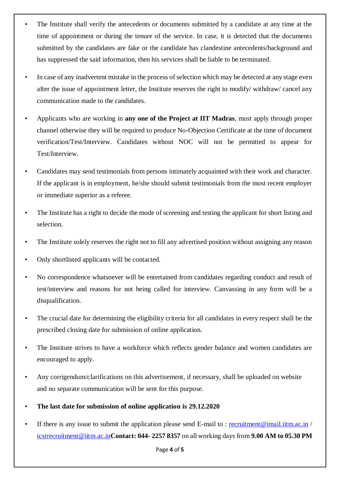- The Institute shall verify the antecedents or documents submitted by a candidate at any time at the time of appointment or during the tenure of the service. In case, it is detected that the documents submitted by the candidates are fake or the candidate has clandestine antecedents/background and has suppressed the said information, then his services shall be liable to be terminated.
- In case of any inadvertent mistake in the process of selection which may be detected at any stage even after the issue of appointment letter, the Institute reserves the right to modify/ withdraw/ cancel any communication made to the candidates.
- Applicants who are working in **any one of the Project at IIT Madras**, must apply through proper channel otherwise they will be required to produce No-Objection Certificate at the time of document verification/Test/Interview. Candidates without NOC will not be permitted to appear for Test/Interview.
- Candidates may send testimonials from persons intimately acquainted with their work and character. If the applicant is in employment, he/she should submit testimonials from the most recent employer or immediate superior as a referee.
- The Institute has a right to decide the mode of screening and testing the applicant for short listing and selection.
- The Institute solely reserves the right not to fill any advertised position without assigning any reason
- Only shortlisted applicants will be contacted.
- No correspondence whatsoever will be entertained from candidates regarding conduct and result of test/interview and reasons for not being called for interview. Canvassing in any form will be a disqualification.
- The crucial date for determining the eligibility criteria for all candidates in every respect shall be the prescribed closing date for submission of online application.
- The Institute strives to have a workforce which reflects gender balance and women candidates are encouraged to apply.
- Any corrigendum/clarifications on this advertisement, if necessary, shall be uploaded on website and no separate communication will be sent for this purpose.
- **The last date for submission of online application is 29.12.2020**
- If there is any issue to submit the application please send E-mail to : [recruitment@imail.iitm.ac.in](mailto:recruitment@imail.iitm.ac.in) / [icsrrecruitment@iitm.ac.in](mailto:icsrrecruitment@iitm.ac.in)**Contact: 044- 2257 8357** on all working days from **9.00 AM to 05.30 PM**